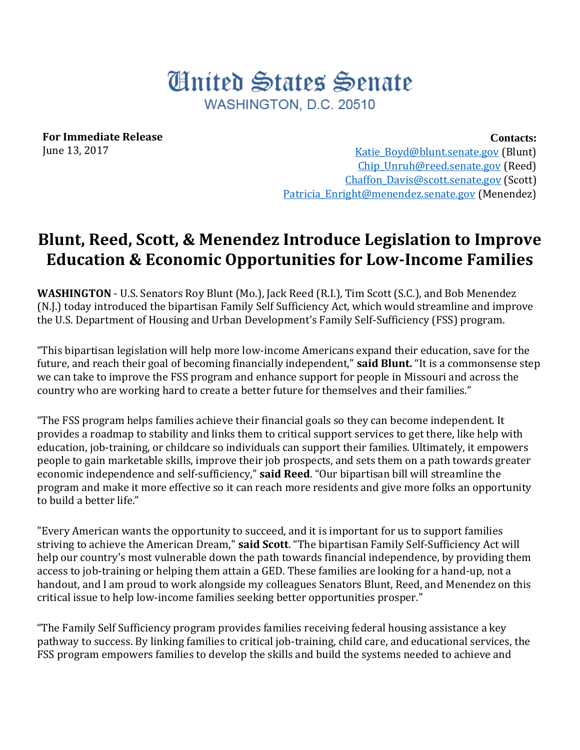## United States Senate WASHINGTON, D.C. 20510

**For Immediate Release** June 13, 2017

**Contacts:**

[Katie\\_Boyd@blunt.senate.gov](mailto:Katie_Boyd@blunt.senate.gov) (Blunt) Chip Unruh@reed.senate.gov (Reed) [Chaffon\\_Davis@scott.senate.gov](mailto:Chaffon_Davis@scott.senate.gov) (Scott) Patricia Enright@menendez.senate.gov (Menendez)

## **Blunt, Reed, Scott, & Menendez Introduce Legislation to Improve Education & Economic Opportunities for Low-Income Families**

**WASHINGTON** - U.S. Senators Roy Blunt (Mo.), Jack Reed (R.I.), Tim Scott (S.C.), and Bob Menendez (N.J.) today introduced the bipartisan Family Self Sufficiency Act, which would streamline and improve the U.S. Department of Housing and Urban Development's Family Self-Sufficiency (FSS) program.

"This bipartisan legislation will help more low-income Americans expand their education, save for the future, and reach their goal of becoming financially independent," **said Blunt.** "It is a commonsense step we can take to improve the FSS program and enhance support for people in Missouri and across the country who are working hard to create a better future for themselves and their families."

"The FSS program helps families achieve their financial goals so they can become independent. It provides a roadmap to stability and links them to critical support services to get there, like help with education, job-training, or childcare so individuals can support their families. Ultimately, it empowers people to gain marketable skills, improve their job prospects, and sets them on a path towards greater economic independence and self-sufficiency," **said Reed**. "Our bipartisan bill will streamline the program and make it more effective so it can reach more residents and give more folks an opportunity to build a better life."

"Every American wants the opportunity to succeed, and it is important for us to support families striving to achieve the American Dream," **said Scott**. "The bipartisan Family Self-Sufficiency Act will help our country's most vulnerable down the path towards financial independence, by providing them access to job-training or helping them attain a GED. These families are looking for a hand-up, not a handout, and I am proud to work alongside my colleagues Senators Blunt, Reed, and Menendez on this critical issue to help low-income families seeking better opportunities prosper."

"The Family Self Sufficiency program provides families receiving federal housing assistance a key pathway to success. By linking families to critical job-training, child care, and educational services, the FSS program empowers families to develop the skills and build the systems needed to achieve and